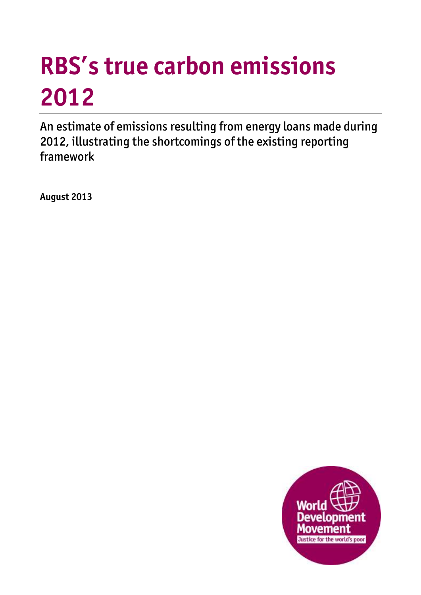# **RBS's true carbon emissions 2012**

An estimate of emissions resulting from energy loans made during 2012, illustrating the shortcomings of the existing reporting framework

**August 2013**

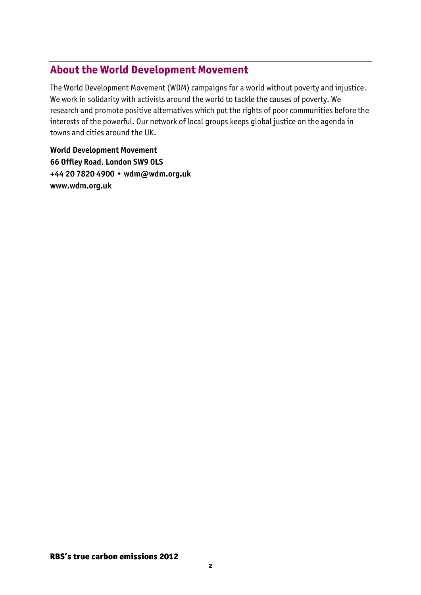## **About the World Development Movement**

The World Development Movement (WDM) campaigns for a world without poverty and injustice. We work in solidarity with activists around the world to tackle the causes of poverty. We research and promote positive alternatives which put the rights of poor communities before the interests of the powerful. Our network of local groups keeps global justice on the agenda in towns and cities around the UK.

**World Development Movement 66 Offley Road, London SW9 0LS +44 20 7820 4900 • wdm@wdm.org.uk www.wdm.org.uk**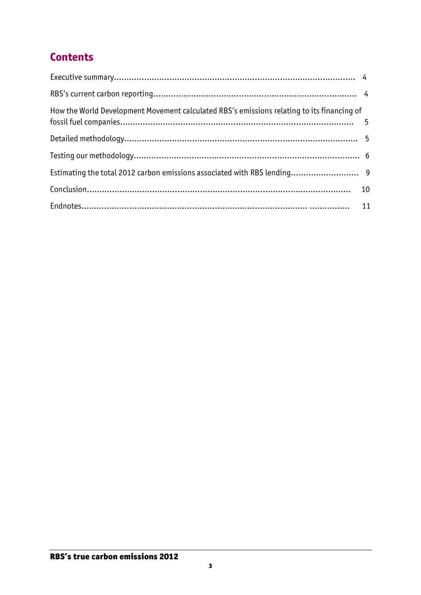# **Contents**

| How the World Development Movement calculated RBS's emissions relating to its financing of |  |
|--------------------------------------------------------------------------------------------|--|
|                                                                                            |  |
|                                                                                            |  |
|                                                                                            |  |
|                                                                                            |  |
|                                                                                            |  |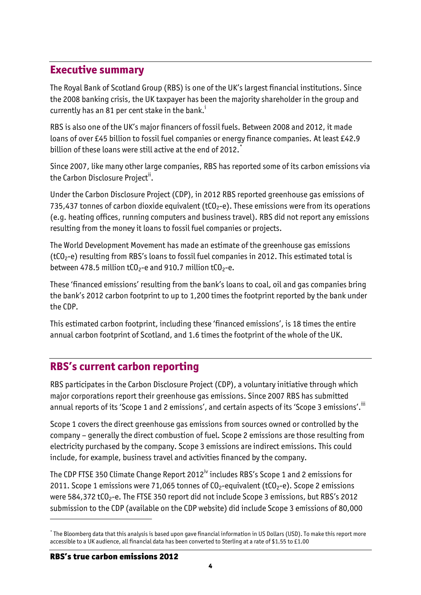#### **Executive summary**

The Royal Bank of Scotland Group (RBS) is one of the UK's largest financial institutions. Since the 2008 banking crisis, the UK taxpayer has been the majority shareholder in the group and currently has an 81 per cent stake in the bank.<sup>i</sup>

RBS is also one of the UK's major financers of fossil fuels. Between 2008 and 2012, it made loans of over £45 billion to fossil fuel companies or energy finance companies. At least £42.9 billion of these loans were still active at the end of 2012.

Since 2007, like many other large companies, RBS has reported some of its carbon emissions via the Carbon Disclosure Project<sup>ii</sup>.

Under the Carbon Disclosure Project (CDP), in 2012 RBS reported greenhouse gas emissions of 735,437 tonnes of carbon dioxide equivalent ( $tCO<sub>2</sub>$ -e). These emissions were from its operations (e.g. heating offices, running computers and business travel). RBS did not report any emissions resulting from the money it loans to fossil fuel companies or projects.

The World Development Movement has made an estimate of the greenhouse gas emissions ( $tCO<sub>2</sub>$ -e) resulting from RBS's loans to fossil fuel companies in 2012. This estimated total is between 478.5 million tCO<sub>2</sub>-e and 910.7 million tCO<sub>2</sub>-e.

These 'financed emissions' resulting from the bank's loans to coal, oil and gas companies bring the bank's 2012 carbon footprint to up to 1,200 times the footprint reported by the bank under the CDP.

This estimated carbon footprint, including these 'financed emissions', is 18 times the entire annual carbon footprint of Scotland, and 1.6 times the footprint of the whole of the UK.

# **RBS's current carbon reporting**

RBS participates in the Carbon Disclosure Project (CDP), a voluntary initiative through which major corporations report their greenhouse gas emissions. Since 2007 RBS has submitted annual reports of its 'Scope 1 and 2 emissions', and certain aspects of its 'Scope 3 emissions'.<sup>iii</sup>

Scope 1 covers the direct greenhouse gas emissions from sources owned or controlled by the company – generally the direct combustion of fuel. Scope 2 emissions are those resulting from electricity purchased by the company. Scope 3 emissions are indirect emissions. This could include, for example, business travel and activities financed by the company.

The CDP FTSE 350 Climate Change Report 2012<sup>iv</sup> includes RBS's Scope 1 and 2 emissions for 2011. Scope 1 emissions were 71,065 tonnes of  $CO<sub>2</sub>$ -equivalent (tCO<sub>2</sub>-e). Scope 2 emissions were 584,372 tCO<sub>2</sub>-e. The FTSE 350 report did not include Scope 3 emissions, but RBS's 2012 submission to the CDP (available on the CDP website) did include Scope 3 emissions of 80,000

l

<sup>\*</sup> The Bloomberg data that this analysis is based upon gave financial information in US Dollars (USD). To make this report more accessible to a UK audience, all financial data has been converted to Sterling at a rate of \$1.55 to £1.00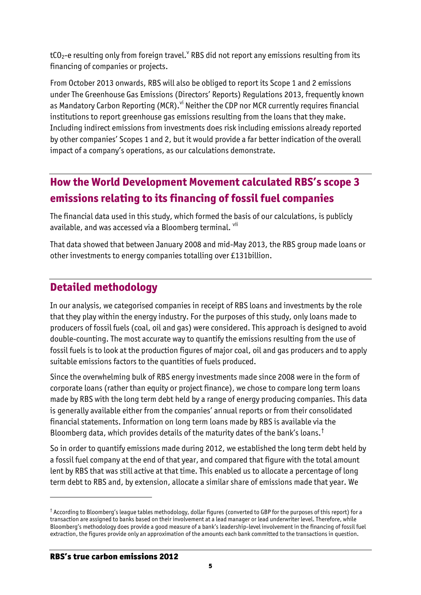tCO<sub>2</sub>-e resulting only from foreign travel. $^{\vee}$  RBS did not report any emissions resulting from its financing of companies or projects.

From October 2013 onwards, RBS will also be obliged to report its Scope 1 and 2 emissions under The Greenhouse Gas Emissions (Directors' Reports) Regulations 2013, frequently known as Mandatory Carbon Reporting (MCR).<sup>vi</sup> Neither the CDP nor MCR currently requires financial institutions to report greenhouse gas emissions resulting from the loans that they make. Including indirect emissions from investments does risk including emissions already reported by other companies' Scopes 1 and 2, but it would provide a far better indication of the overall impact of a company's operations, as our calculations demonstrate.

# **How the World Development Movement calculated RBS's scope 3 emissions relating to its financing of fossil fuel companies**

The financial data used in this study, which formed the basis of our calculations, is publicly available, and was accessed via a Bloomberg terminal. vii

That data showed that between January 2008 and mid-May 2013, the RBS group made loans or other investments to energy companies totalling over £131billion.

# **Detailed methodology**

In our analysis, we categorised companies in receipt of RBS loans and investments by the role that they play within the energy industry. For the purposes of this study, only loans made to producers of fossil fuels (coal, oil and gas) were considered. This approach is designed to avoid double-counting. The most accurate way to quantify the emissions resulting from the use of fossil fuels is to look at the production figures of major coal, oil and gas producers and to apply suitable emissions factors to the quantities of fuels produced.

Since the overwhelming bulk of RBS energy investments made since 2008 were in the form of corporate loans (rather than equity or project finance), we chose to compare long term loans made by RBS with the long term debt held by a range of energy producing companies. This data is generally available either from the companies' annual reports or from their consolidated financial statements. Information on long term loans made by RBS is available via the Bloomberg data, which provides details of the maturity dates of the bank's loans.†

So in order to quantify emissions made during 2012, we established the long term debt held by a fossil fuel company at the end of that year, and compared that figure with the total amount lent by RBS that was still active at that time. This enabled us to allocate a percentage of long term debt to RBS and, by extension, allocate a similar share of emissions made that year. We

l

 $^\dagger$  According to Bloomberg's league tables methodology, dollar figures (converted to GBP for the purposes of this report) for a transaction are assigned to banks based on their involvement at a lead manager or lead underwriter level. Therefore, while Bloomberg's methodology does provide a good measure of a bank's leadership-level involvement in the financing of fossil fuel extraction, the figures provide only an approximation of the amounts each bank committed to the transactions in question.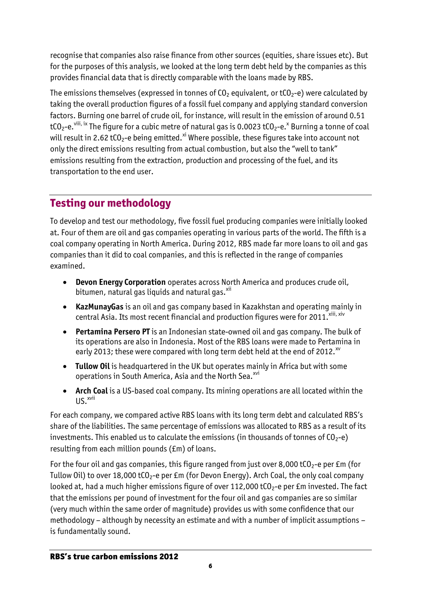recognise that companies also raise finance from other sources (equities, share issues etc). But for the purposes of this analysis, we looked at the long term debt held by the companies as this provides financial data that is directly comparable with the loans made by RBS.

The emissions themselves (expressed in tonnes of  $CO<sub>2</sub>$  equivalent, or tCO<sub>2</sub>-e) were calculated by taking the overall production figures of a fossil fuel company and applying standard conversion factors. Burning one barrel of crude oil, for instance, will result in the emission of around 0.51 tCO<sub>2</sub>-e. <sup>viii, ix</sup> The figure for a cubic metre of natural gas is 0.0023 tCO<sub>2</sub>-e.<sup>x</sup> Burning a tonne of coal will result in 2.62 tCO<sub>2</sub>-e being emitted.<sup>xi</sup> Where possible, these figures take into account not only the direct emissions resulting from actual combustion, but also the "well to tank" emissions resulting from the extraction, production and processing of the fuel, and its transportation to the end user.

# **Testing our methodology**

To develop and test our methodology, five fossil fuel producing companies were initially looked at. Four of them are oil and gas companies operating in various parts of the world. The fifth is a coal company operating in North America. During 2012, RBS made far more loans to oil and gas companies than it did to coal companies, and this is reflected in the range of companies examined.

- **Devon Energy Corporation** operates across North America and produces crude oil, bitumen, natural gas liquids and natural gas. $x$ <sup>ii</sup>
- **KazMunayGas** is an oil and gas company based in Kazakhstan and operating mainly in central Asia. Its most recent financial and production figures were for 2011. Xiii, xiv
- **Pertamina Persero PT** is an Indonesian state-owned oil and gas company. The bulk of its operations are also in Indonesia. Most of the RBS loans were made to Pertamina in early 2013; these were compared with long term debt held at the end of 2012.<sup>xv</sup>
- **Tullow Oil** is headquartered in the UK but operates mainly in Africa but with some operations in South America, Asia and the North Sea.<sup>xvi</sup>
- **Arch Coal** is a US-based coal company. Its mining operations are all located within the  $\mathsf{U}\mathsf{S}$ <sup>xvii</sup>

For each company, we compared active RBS loans with its long term debt and calculated RBS's share of the liabilities. The same percentage of emissions was allocated to RBS as a result of its investments. This enabled us to calculate the emissions (in thousands of tonnes of  $CO<sub>2</sub>-e$ ) resulting from each million pounds (£m) of loans.

For the four oil and gas companies, this figure ranged from just over 8,000 tCO<sub>2</sub>-e per £m (for Tullow Oil) to over 18,000 tCO<sub>2</sub>-e per £m (for Devon Energy). Arch Coal, the only coal company looked at, had a much higher emissions figure of over 112,000 tCO<sub>2</sub>-e per £m invested. The fact that the emissions per pound of investment for the four oil and gas companies are so similar (very much within the same order of magnitude) provides us with some confidence that our methodology – although by necessity an estimate and with a number of implicit assumptions – is fundamentally sound.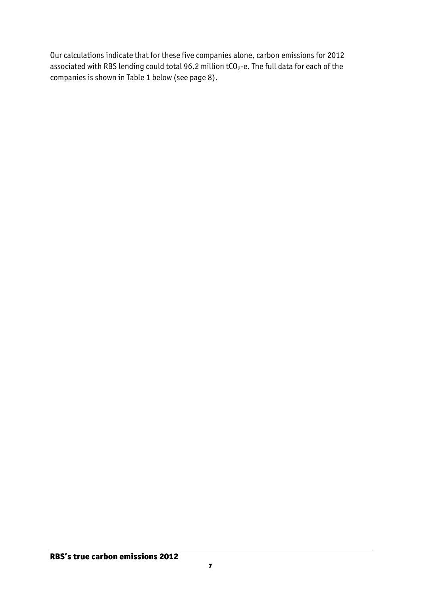Our calculations indicate that for these five companies alone, carbon emissions for 2012 associated with RBS lending could total 96.2 million  $tCO_2$ -e. The full data for each of the companies is shown in Table 1 below (see page 8).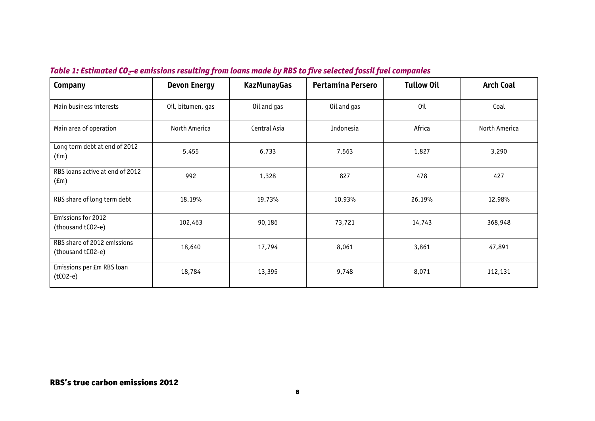| Company                                          | <b>Devon Energy</b> | <b>KazMunayGas</b> | Pertamina Persero | <b>Tullow Oil</b> | <b>Arch Coal</b> |
|--------------------------------------------------|---------------------|--------------------|-------------------|-------------------|------------------|
| Main business interests                          | Oil, bitumen, gas   | Oil and gas        | Oil and gas       | Oil               | Coal             |
| Main area of operation                           | North America       | Central Asia       | Indonesia         | Africa            | North America    |
| Long term debt at end of 2012<br>$(\text{fm})$   | 5,455               | 6,733              | 7,563             | 1,827             | 3,290            |
| RBS loans active at end of 2012<br>$(\text{fm})$ | 992                 | 1,328              | 827               | 478               | 427              |
| RBS share of long term debt                      | 18.19%              | 19.73%             | 10.93%            | 26.19%            | 12.98%           |
| Emissions for 2012<br>(thousand tCO2-e)          | 102,463             | 90,186             | 73,721            | 14,743            | 368,948          |
| RBS share of 2012 emissions<br>(thousand tCO2-e) | 18,640              | 17,794             | 8,061             | 3,861             | 47,891           |
| Emissions per £m RBS loan<br>$(tCO2-e)$          | 18,784              | 13,395             | 9,748             | 8,071             | 112,131          |

#### *Table 1: Estimated CO2-e emissions resulting from loans made by RBS to five selected fossil fuel companies*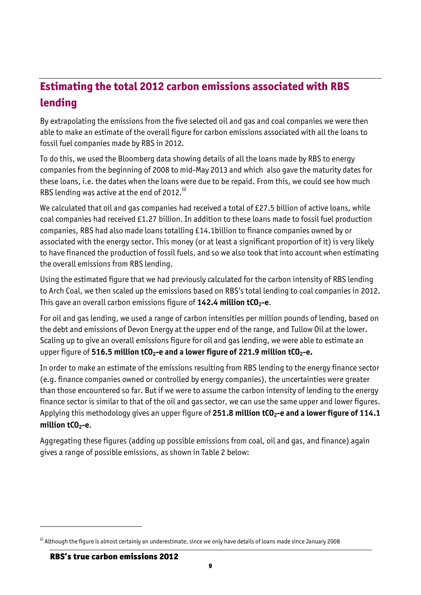# **Estimating the total 2012 carbon emissions associated with RBS lending**

By extrapolating the emissions from the five selected oil and gas and coal companies we were then able to make an estimate of the overall figure for carbon emissions associated with all the loans to fossil fuel companies made by RBS in 2012.

To do this, we used the Bloomberg data showing details of all the loans made by RBS to energy companies from the beginning of 2008 to mid-May 2013 and which also gave the maturity dates for these loans, i.e. the dates when the loans were due to be repaid. From this, we could see how much RBS lending was active at the end of 2012.<sup>iii</sup>

We calculated that oil and gas companies had received a total of £27.5 billion of active loans, while coal companies had received £1.27 billion. In addition to these loans made to fossil fuel production companies, RBS had also made loans totalling £14.1billion to finance companies owned by or associated with the energy sector. This money (or at least a significant proportion of it) is very likely to have financed the production of fossil fuels, and so we also took that into account when estimating the overall emissions from RBS lending.

Using the estimated figure that we had previously calculated for the carbon intensity of RBS lending to Arch Coal, we then scaled up the emissions based on RBS's total lending to coal companies in 2012. This gave an overall carbon emissions figure of **142.4 million tCO2-e**.

For oil and gas lending, we used a range of carbon intensities per million pounds of lending, based on the debt and emissions of Devon Energy at the upper end of the range, and Tullow Oil at the lower. Scaling up to give an overall emissions figure for oil and gas lending, we were able to estimate an upper figure of **516.5 million tCO2-e and a lower figure of 221.9 million tCO2-e.**

In order to make an estimate of the emissions resulting from RBS lending to the energy finance sector (e.g. finance companies owned or controlled by energy companies), the uncertainties were greater than those encountered so far. But if we were to assume the carbon intensity of lending to the energy finance sector is similar to that of the oil and gas sector, we can use the same upper and lower figures. Applying this methodology gives an upper figure of **251.8 million tCO2-e and a lower figure of 114.1 million tCO2-e**.

Aggregating these figures (adding up possible emissions from coal, oil and gas, and finance) again gives a range of possible emissions, as shown in Table 2 below:

 $\overline{a}$ 

iii Although the figure is almost certainly an underestimate, since we only have details of loans made since January 2008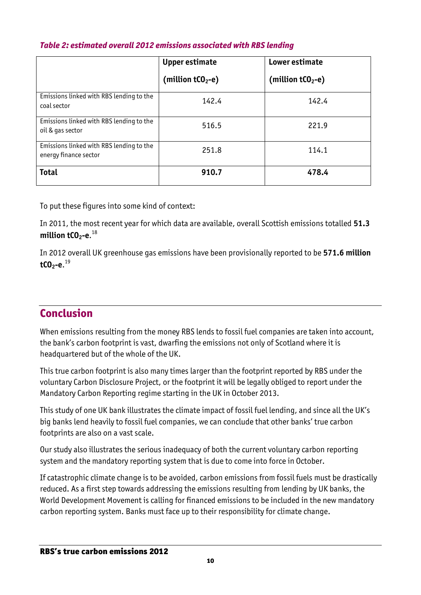|                                                                   | <b>Upper estimate</b><br>(million tCO <sub>2</sub> -e) | Lower estimate<br>(million tCO <sub>2</sub> -e) |
|-------------------------------------------------------------------|--------------------------------------------------------|-------------------------------------------------|
| Emissions linked with RBS lending to the<br>coal sector           | 142.4                                                  | 142.4                                           |
| Emissions linked with RBS lending to the<br>oil & gas sector      | 516.5                                                  | 221.9                                           |
| Emissions linked with RBS lending to the<br>energy finance sector | 251.8                                                  | 114.1                                           |
| <b>Total</b>                                                      | 910.7                                                  | 478.4                                           |

#### *Table 2: estimated overall 2012 emissions associated with RBS lending*

To put these figures into some kind of context:

In 2011, the most recent year for which data are available, overall Scottish emissions totalled **51.3 million tCO2-e**. 18

In 2012 overall UK greenhouse gas emissions have been provisionally reported to be **571.6 million tCO2-e**. 19

### **Conclusion**

When emissions resulting from the money RBS lends to fossil fuel companies are taken into account, the bank's carbon footprint is vast, dwarfing the emissions not only of Scotland where it is headquartered but of the whole of the UK.

This true carbon footprint is also many times larger than the footprint reported by RBS under the voluntary Carbon Disclosure Project, or the footprint it will be legally obliged to report under the Mandatory Carbon Reporting regime starting in the UK in October 2013.

This study of one UK bank illustrates the climate impact of fossil fuel lending, and since all the UK's big banks lend heavily to fossil fuel companies, we can conclude that other banks' true carbon footprints are also on a vast scale.

Our study also illustrates the serious inadequacy of both the current voluntary carbon reporting system and the mandatory reporting system that is due to come into force in October.

If catastrophic climate change is to be avoided, carbon emissions from fossil fuels must be drastically reduced. As a first step towards addressing the emissions resulting from lending by UK banks, the World Development Movement is calling for financed emissions to be included in the new mandatory carbon reporting system. Banks must face up to their responsibility for climate change.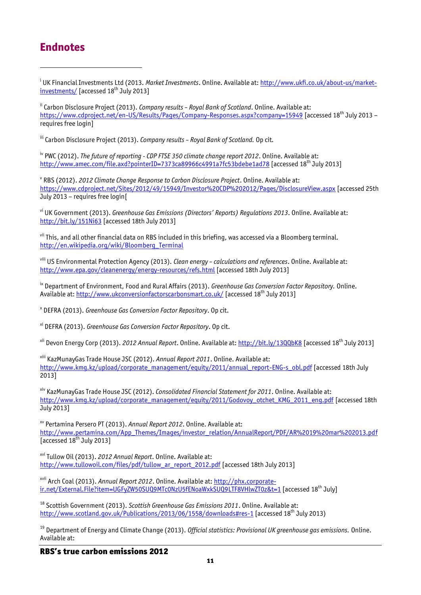#### **Endnotes**

 $\overline{a}$ 

<sup>i</sup> UK Financial Investments Ltd (2013. *Market Investments*. Online. Available at: <u>http://www.ukfi.co.uk/about-us/market-</u>  $investments / Iaccessed 18<sup>th</sup> July 20131$ 

ii Carbon Disclosure Project (2013). *Company results – Royal Bank of Scotland*. Online. Available at: <https://www.cdproject.net/en-US/Results/Pages/Company-Responses.aspx?company=15949> [accessed 18<sup>th</sup> July 2013 – requires free login]

iii Carbon Disclosure Project (2013). *Company results – Royal Bank of Scotland.* Op cit*.*

iv PWC (2012). *The future of reporting - CDP FTSE 350 climate change report 2012*. Online. Available at: <http://www.amec.com/file.axd?pointerID=7373ca89966c4991a7fc53bdebe1ad78> [accessed 18th July 2013]

v RBS (2012). *2012 Climate Change Response to Carbon Disclosure Project*. Online. Available at: <https://www.cdproject.net/Sites/2012/49/15949/Investor%20CDP%202012/Pages/DisclosureView.aspx> [accessed 25th July 2013 – requires free login[

vi UK Government (2013). *Greenhouse Gas Emissions (Directors' Reports) Regulations 2013*. Online. Available at: <http://bit.ly/151Ni63> [accessed 18th July 2013]

vii This, and all other financial data on RBS included in this briefing, was accessed via a Bloomberg terminal. [http://en.wikipedia.org/wiki/Bloomberg\\_Terminal](http://en.wikipedia.org/wiki/Bloomberg_Terminal)

viii US Environmental Protection Agency (2013). *Clean energy – calculations and references*. Online. Available at: <http://www.epa.gov/cleanenergy/energy-resources/refs.html> [accessed 18th July 2013]

ix Department of Environment, Food and Rural Affairs (2013). *Greenhouse Gas Conversion Factor Repository.* Online. Available at:<http://www.ukconversionfactorscarbonsmart.co.uk/> [accessed 18th July 2013]

x DEFRA (2013). *Greenhouse Gas Conversion Factor Repository*. Op cit.

xi DEFRA (2013). *Greenhouse Gas Conversion Factor Repository*. Op cit.

xii Devon Energy Corp (2013). *2012 Annual Report*. Online. Available at:<http://bit.ly/13QQbK8> [accessed 18th July 2013]

xiii KazMunayGas Trade House JSC (2012). *Annual Report 2011*. Online. Available at: [http://www.kmg.kz/upload/corporate\\_management/equity/2011/annual\\_report-ENG-s\\_obl.pdf](http://www.kmg.kz/upload/corporate_management/equity/2011/annual_report-ENG-s_obl.pdf) [accessed 18th July 2013]

xiv KazMunayGas Trade House JSC (2012). *Consolidated Financial Statement for 2011*. Online. Available at: [http://www.kmg.kz/upload/corporate\\_management/equity/2011/Godovoy\\_otchet\\_KMG\\_2011\\_eng.pdf](http://www.kmg.kz/upload/corporate_management/equity/2011/Godovoy_otchet_KMG_2011_eng.pdf) [accessed 18th July 2013]

xv Pertamina Persero PT (2013). *Annual Report 2012*. Online. Available at: [http://www.pertamina.com/App\\_Themes/Images/investor\\_relation/AnnualReport/PDF/AR%2019%20mar%202013.pdf](http://www.pertamina.com/App_Themes/Images/investor_relation/AnnualReport/PDF/AR%2019%20mar%202013.pdf) accessed 18<sup>th</sup> July 2013]

xvi Tullow Oil (2013). *2012 Annual Report*. Online. Available at: [http://www.tullowoil.com/files/pdf/tullow\\_ar\\_report\\_2012.pdf](http://www.tullowoil.com/files/pdf/tullow_ar_report_2012.pdf) [accessed 18th July 2013]

xvii Arch Coal (2013). *Annual Report 2012*. Online. Available at: [http://phx.corporate](http://phx.corporate-ir.net/External.File?item=UGFyZW50SUQ9MTc0NzU5fENoaWxkSUQ9LTF8VHlwZT0z&t=1)[ir.net/External.File?item=UGFyZW50SUQ9MTc0NzU5fENoaWxkSUQ9LTF8VHlwZT0z&t=1](http://phx.corporate-ir.net/External.File?item=UGFyZW50SUQ9MTc0NzU5fENoaWxkSUQ9LTF8VHlwZT0z&t=1) [accessed 18<sup>th</sup> July]

<sup>18</sup> Scottish Government (2013). *Scottish Greenhouse Gas Emissions 2011*. Online. Available at: <http://www.scotland.gov.uk/Publications/2013/06/1558/downloads#res-1> [accessed 18<sup>th</sup> July 2013)

<sup>19</sup> Department of Energy and Climate Change (2013). *Official statistics: Provisional UK greenhouse gas emissions.* Online. Available at:

RBS's true carbon emissions 2012